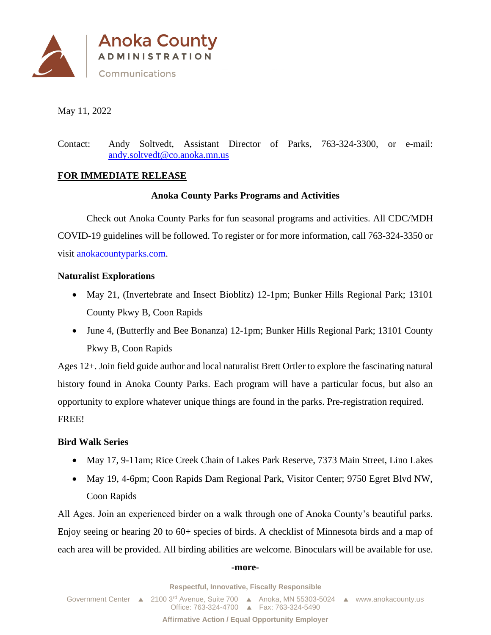

May 11, 2022

Contact: Andy Soltvedt, Assistant Director of Parks, 763-324-3300, or e-mail: [andy.soltvedt@co.anoka.mn.us](mailto:andy.soltvedt@co.anoka.mn.us)

### **FOR IMMEDIATE RELEASE**

### **Anoka County Parks Programs and Activities**

Check out Anoka County Parks for fun seasonal programs and activities. All CDC/MDH COVID-19 guidelines will be followed. To register or for more information, call 763-324-3350 or visit [anokacountyparks.com.](http://www.anokacountyparks.com/)

### **Naturalist Explorations**

- May 21, (Invertebrate and Insect Bioblitz) 12-1pm; Bunker Hills Regional Park; 13101 County Pkwy B, Coon Rapids
- June 4, (Butterfly and Bee Bonanza) 12-1pm; Bunker Hills Regional Park; 13101 County Pkwy B, Coon Rapids

Ages 12+. Join field guide author and local naturalist Brett Ortler to explore the fascinating natural history found in Anoka County Parks. Each program will have a particular focus, but also an opportunity to explore whatever unique things are found in the parks. Pre-registration required. FREE!

### **Bird Walk Series**

- May 17, 9-11am; Rice Creek Chain of Lakes Park Reserve, 7373 Main Street, Lino Lakes
- May 19, 4-6pm; Coon Rapids Dam Regional Park, Visitor Center; 9750 Egret Blvd NW, Coon Rapids

All Ages. Join an experienced birder on a walk through one of Anoka County's beautiful parks. Enjoy seeing or hearing 20 to 60+ species of birds. A checklist of Minnesota birds and a map of each area will be provided. All birding abilities are welcome. Binoculars will be available for use.

#### **-more-**

**Respectful, Innovative, Fiscally Responsible**

Government Center  $\triangle$  2100 3<sup>rd</sup> Avenue, Suite 700  $\triangle$  Anoka, MN 55303-5024  $\triangle$  www.anokacounty.us Office: 763-324-4700 Fax: 763-324-5490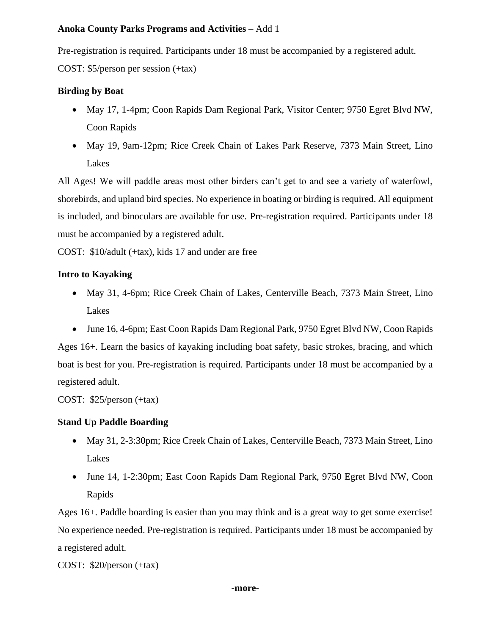## **Anoka County Parks Programs and Activities** – Add 1

Pre-registration is required. Participants under 18 must be accompanied by a registered adult.

COST: \$5/person per session (+tax)

# **Birding by Boat**

- May 17, 1-4pm; Coon Rapids Dam Regional Park, Visitor Center; 9750 Egret Blvd NW, Coon Rapids
- May 19, 9am-12pm; Rice Creek Chain of Lakes Park Reserve, 7373 Main Street, Lino Lakes

All Ages! We will paddle areas most other birders can't get to and see a variety of waterfowl, shorebirds, and upland bird species. No experience in boating or birding is required. All equipment is included, and binoculars are available for use. Pre-registration required. Participants under 18 must be accompanied by a registered adult.

COST: \$10/adult (+tax), kids 17 and under are free

# **Intro to Kayaking**

- May 31, 4-6pm; Rice Creek Chain of Lakes, Centerville Beach, 7373 Main Street, Lino Lakes
- June 16, 4-6pm; East Coon Rapids Dam Regional Park, 9750 Egret Blvd NW, Coon Rapids

Ages 16+. Learn the basics of kayaking including boat safety, basic strokes, bracing, and which boat is best for you. Pre-registration is required. Participants under 18 must be accompanied by a registered adult.

COST: \$25/person (+tax)

# **Stand Up Paddle Boarding**

- May 31, 2-3:30pm; Rice Creek Chain of Lakes, Centerville Beach, 7373 Main Street, Lino Lakes
- June 14, 1-2:30pm; East Coon Rapids Dam Regional Park, 9750 Egret Blvd NW, Coon Rapids

Ages 16+. Paddle boarding is easier than you may think and is a great way to get some exercise! No experience needed. Pre-registration is required. Participants under 18 must be accompanied by a registered adult.

COST: \$20/person (+tax)